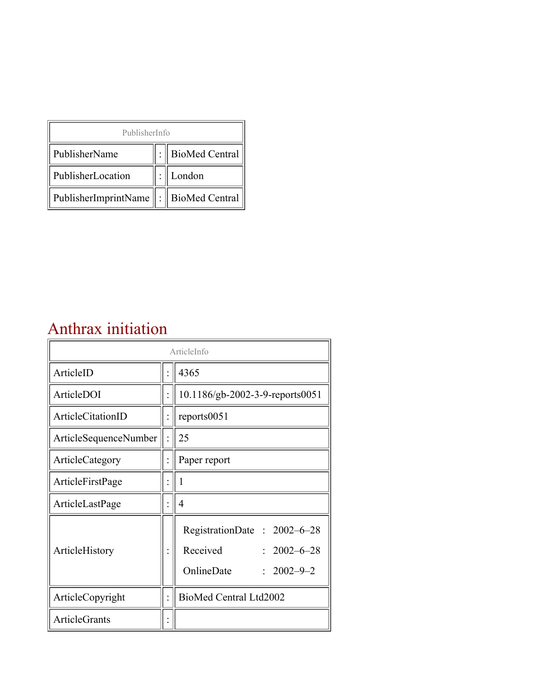| PublisherInfo                                   |  |                    |  |  |
|-------------------------------------------------|--|--------------------|--|--|
| PublisherName                                   |  | :   BioMed Central |  |  |
| PublisherLocation                               |  | London             |  |  |
| PublisherImprintName $\ \cdot\ $ BioMed Central |  |                    |  |  |

### Anthrax initiation

| ArticleInfo           |  |                                                                                                |  |
|-----------------------|--|------------------------------------------------------------------------------------------------|--|
| ArticleID             |  | 4365                                                                                           |  |
| ArticleDOI            |  | 10.1186/gb-2002-3-9-reports0051                                                                |  |
| ArticleCitationID     |  | reports0051                                                                                    |  |
| ArticleSequenceNumber |  | 25                                                                                             |  |
| ArticleCategory       |  | Paper report                                                                                   |  |
| ArticleFirstPage      |  |                                                                                                |  |
| ArticleLastPage       |  | $\overline{4}$                                                                                 |  |
| ArticleHistory        |  | RegistrationDate: 2002-6-28<br>Received<br>$: 2002 - 6 - 28$<br>OnlineDate<br>$: 2002 - 9 - 2$ |  |
| ArticleCopyright      |  | BioMed Central Ltd2002                                                                         |  |
| ArticleGrants         |  |                                                                                                |  |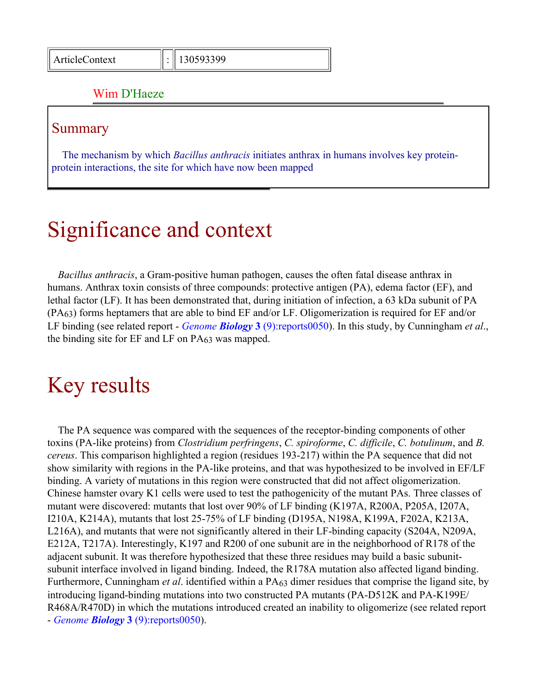#### Wim D'Haeze

#### Summary

The mechanism by which *Bacillus anthracis* initiates anthrax in humans involves key proteinprotein interactions, the site for which have now been mapped

## Significance and context

*Bacillus anthracis*, a Gram-positive human pathogen, causes the often fatal disease anthrax in humans. Anthrax toxin consists of three compounds: protective antigen (PA), edema factor (EF), and lethal factor (LF). It has been demonstrated that, during initiation of infection, a 63 kDa subunit of PA (PA63) forms heptamers that are able to bind EF and/or LF. Oligomerization is required for EF and/or LF binding (see related report - *Genome Biology* **3** [\(9\):reports0050\)](http://genomebiology.com/2002/3/9/reports/0050). In this study, by Cunningham *et al*., the binding site for EF and LF on PA63 was mapped.

### Key results

The PA sequence was compared with the sequences of the receptor-binding components of other toxins (PA-like proteins) from *Clostridium perfringens*, *C. spiroforme*, *C. difficile*, *C. botulinum*, and *B. cereus*. This comparison highlighted a region (residues 193-217) within the PA sequence that did not show similarity with regions in the PA-like proteins, and that was hypothesized to be involved in EF/LF binding. A variety of mutations in this region were constructed that did not affect oligomerization. Chinese hamster ovary K1 cells were used to test the pathogenicity of the mutant PAs. Three classes of mutant were discovered: mutants that lost over 90% of LF binding (K197A, R200A, P205A, I207A, I210A, K214A), mutants that lost 25-75% of LF binding (D195A, N198A, K199A, F202A, K213A, L216A), and mutants that were not significantly altered in their LF-binding capacity (S204A, N209A, E212A, T217A). Interestingly, K197 and R200 of one subunit are in the neighborhood of R178 of the adjacent subunit. It was therefore hypothesized that these three residues may build a basic subunitsubunit interface involved in ligand binding. Indeed, the R178A mutation also affected ligand binding. Furthermore, Cunningham *et al*. identified within a PA63 dimer residues that comprise the ligand site, by introducing ligand-binding mutations into two constructed PA mutants (PA-D512K and PA-K199E/ R468A/R470D) in which the mutations introduced created an inability to oligomerize (see related report - *Genome Biology* **3** [\(9\):reports0050\)](http://genomebiology.com/2002/3/9/reports/0050).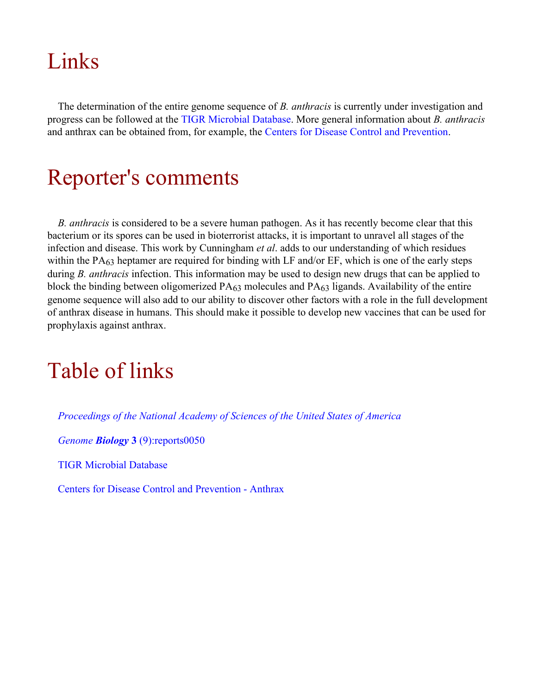# Links

The determination of the entire genome sequence of *B. anthracis* is currently under investigation and progress can be followed at the [TIGR Microbial Database.](http://www.tigr.org/tdb/mdb/mdbinprogress.html) More general information about *B. anthracis* and anthrax can be obtained from, for example, the [Centers for Disease Control and Prevention](http://www.cdc.gov/ncidod/dbmd/diseaseinfo/anthrax_g.htm).

## Reporter's comments

*B. anthracis* is considered to be a severe human pathogen. As it has recently become clear that this bacterium or its spores can be used in bioterrorist attacks, it is important to unravel all stages of the infection and disease. This work by Cunningham *et al*. adds to our understanding of which residues within the PA63 heptamer are required for binding with LF and/or EF, which is one of the early steps during *B. anthracis* infection. This information may be used to design new drugs that can be applied to block the binding between oligomerized PA63 molecules and PA63 ligands. Availability of the entire genome sequence will also add to our ability to discover other factors with a role in the full development of anthrax disease in humans. This should make it possible to develop new vaccines that can be used for prophylaxis against anthrax.

# Table of links

*[Proceedings of the National Academy of Sciences of the United States of America](http://www.pnas.org/)*

*Genome Biology* **3** [\(9\):reports0050](http://genomebiology.com/2002/3/9/reports/0050)

[TIGR Microbial Database](http://www.tigr.org/tdb/mdb/mdbinprogress.html)

[Centers for Disease Control and Prevention - Anthrax](http://www.cdc.gov/ncidod/dbmd/diseaseinfo/anthrax_g.htm)